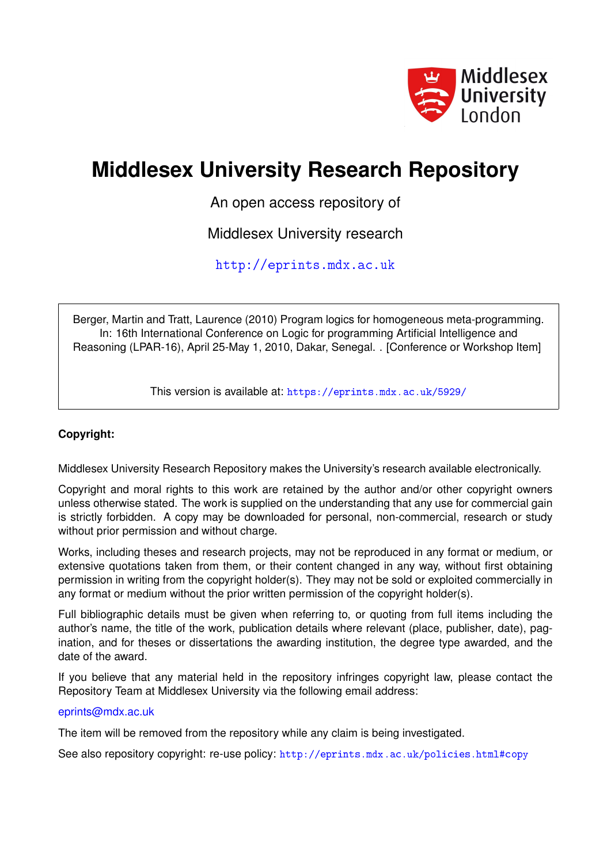

# **Middlesex University Research Repository**

An open access repository of

Middlesex University research

<http://eprints.mdx.ac.uk>

Berger, Martin and Tratt, Laurence (2010) Program logics for homogeneous meta-programming. In: 16th International Conference on Logic for programming Artificial Intelligence and Reasoning (LPAR-16), April 25-May 1, 2010, Dakar, Senegal. . [Conference or Workshop Item]

This version is available at: <https://eprints.mdx.ac.uk/5929/>

# **Copyright:**

Middlesex University Research Repository makes the University's research available electronically.

Copyright and moral rights to this work are retained by the author and/or other copyright owners unless otherwise stated. The work is supplied on the understanding that any use for commercial gain is strictly forbidden. A copy may be downloaded for personal, non-commercial, research or study without prior permission and without charge.

Works, including theses and research projects, may not be reproduced in any format or medium, or extensive quotations taken from them, or their content changed in any way, without first obtaining permission in writing from the copyright holder(s). They may not be sold or exploited commercially in any format or medium without the prior written permission of the copyright holder(s).

Full bibliographic details must be given when referring to, or quoting from full items including the author's name, the title of the work, publication details where relevant (place, publisher, date), pagination, and for theses or dissertations the awarding institution, the degree type awarded, and the date of the award.

If you believe that any material held in the repository infringes copyright law, please contact the Repository Team at Middlesex University via the following email address:

## [eprints@mdx.ac.uk](mailto:eprints@mdx.ac.uk)

The item will be removed from the repository while any claim is being investigated.

See also repository copyright: re-use policy: <http://eprints.mdx.ac.uk/policies.html#copy>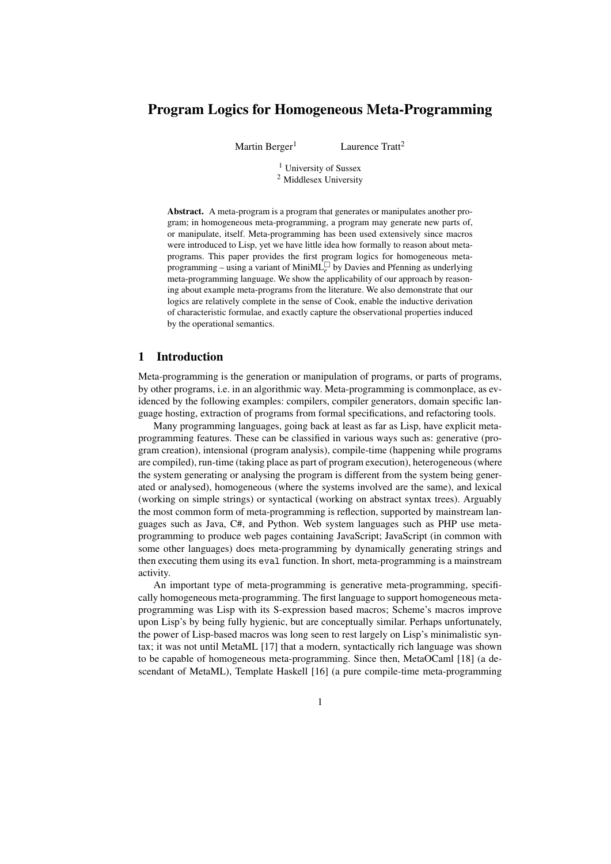## Program Logics for Homogeneous Meta-Programming

Martin Berger<sup>1</sup> Laurence Tratt<sup>2</sup>

<sup>1</sup> University of Sussex <sup>2</sup> Middlesex University

Abstract. A meta-program is a program that generates or manipulates another program; in homogeneous meta-programming, a program may generate new parts of, or manipulate, itself. Meta-programming has been used extensively since macros were introduced to Lisp, yet we have little idea how formally to reason about metaprograms. This paper provides the first program logics for homogeneous metaprogramming – using a variant of MiniML $\downarrow_e$  by Davies and Pfenning as underlying meta-programming language. We show the applicability of our approach by reasoning about example meta-programs from the literature. We also demonstrate that our logics are relatively complete in the sense of Cook, enable the inductive derivation of characteristic formulae, and exactly capture the observational properties induced by the operational semantics.

## 1 Introduction

Meta-programming is the generation or manipulation of programs, or parts of programs, by other programs, i.e. in an algorithmic way. Meta-programming is commonplace, as evidenced by the following examples: compilers, compiler generators, domain specific language hosting, extraction of programs from formal specifications, and refactoring tools.

Many programming languages, going back at least as far as Lisp, have explicit metaprogramming features. These can be classified in various ways such as: generative (program creation), intensional (program analysis), compile-time (happening while programs are compiled), run-time (taking place as part of program execution), heterogeneous (where the system generating or analysing the program is different from the system being generated or analysed), homogeneous (where the systems involved are the same), and lexical (working on simple strings) or syntactical (working on abstract syntax trees). Arguably the most common form of meta-programming is reflection, supported by mainstream languages such as Java, C#, and Python. Web system languages such as PHP use metaprogramming to produce web pages containing JavaScript; JavaScript (in common with some other languages) does meta-programming by dynamically generating strings and then executing them using its eval function. In short, meta-programming is a mainstream activity.

An important type of meta-programming is generative meta-programming, specifically homogeneous meta-programming. The first language to support homogeneous metaprogramming was Lisp with its S-expression based macros; Scheme's macros improve upon Lisp's by being fully hygienic, but are conceptually similar. Perhaps unfortunately, the power of Lisp-based macros was long seen to rest largely on Lisp's minimalistic syntax; it was not until MetaML [17] that a modern, syntactically rich language was shown to be capable of homogeneous meta-programming. Since then, MetaOCaml [18] (a descendant of MetaML), Template Haskell [16] (a pure compile-time meta-programming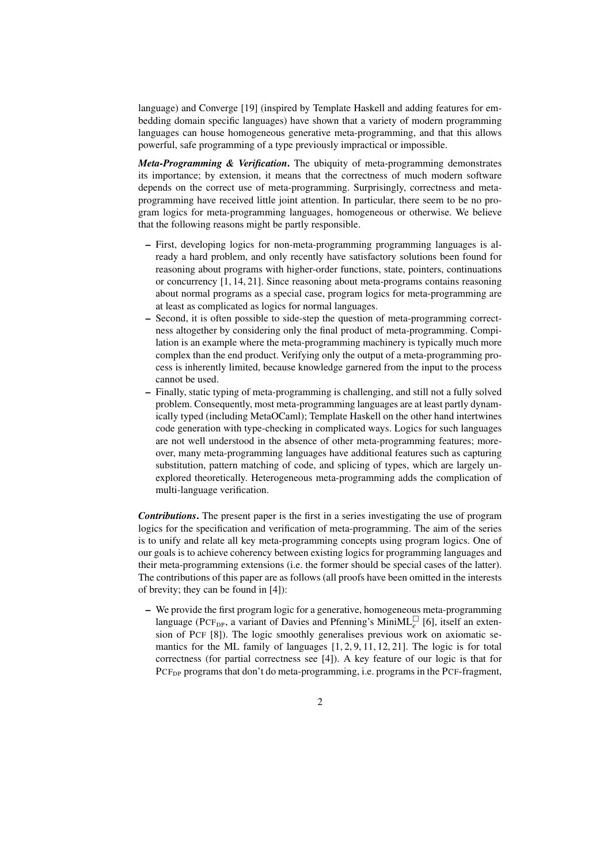language) and Converge [19] (inspired by Template Haskell and adding features for embedding domain specific languages) have shown that a variety of modern programming languages can house homogeneous generative meta-programming, and that this allows powerful, safe programming of a type previously impractical or impossible.

*Meta-Programming & Verification*. The ubiquity of meta-programming demonstrates its importance; by extension, it means that the correctness of much modern software depends on the correct use of meta-programming. Surprisingly, correctness and metaprogramming have received little joint attention. In particular, there seem to be no program logics for meta-programming languages, homogeneous or otherwise. We believe that the following reasons might be partly responsible.

- First, developing logics for non-meta-programming programming languages is already a hard problem, and only recently have satisfactory solutions been found for reasoning about programs with higher-order functions, state, pointers, continuations or concurrency [1, 14, 21]. Since reasoning about meta-programs contains reasoning about normal programs as a special case, program logics for meta-programming are at least as complicated as logics for normal languages.
- Second, it is often possible to side-step the question of meta-programming correctness altogether by considering only the final product of meta-programming. Compilation is an example where the meta-programming machinery is typically much more complex than the end product. Verifying only the output of a meta-programming process is inherently limited, because knowledge garnered from the input to the process cannot be used.
- Finally, static typing of meta-programming is challenging, and still not a fully solved problem. Consequently, most meta-programming languages are at least partly dynamically typed (including MetaOCaml); Template Haskell on the other hand intertwines code generation with type-checking in complicated ways. Logics for such languages are not well understood in the absence of other meta-programming features; moreover, many meta-programming languages have additional features such as capturing substitution, pattern matching of code, and splicing of types, which are largely unexplored theoretically. Heterogeneous meta-programming adds the complication of multi-language verification.

*Contributions*. The present paper is the first in a series investigating the use of program logics for the specification and verification of meta-programming. The aim of the series is to unify and relate all key meta-programming concepts using program logics. One of our goals is to achieve coherency between existing logics for programming languages and their meta-programming extensions (i.e. the former should be special cases of the latter). The contributions of this paper are as follows (all proofs have been omitted in the interests of brevity; they can be found in [4]):

– We provide the first program logic for a generative, homogeneous meta-programming language (PCF<sub>DP</sub>, a variant of Davies and Pfenning's MiniML<sup> $\Box$ </sup> [6], itself an extension of PCF [8]). The logic smoothly generalises previous work on axiomatic semantics for the ML family of languages [1, 2, 9, 11, 12, 21]. The logic is for total correctness (for partial correctness see [4]). A key feature of our logic is that for PCF<sub>DP</sub> programs that don't do meta-programming, i.e. programs in the PCF-fragment,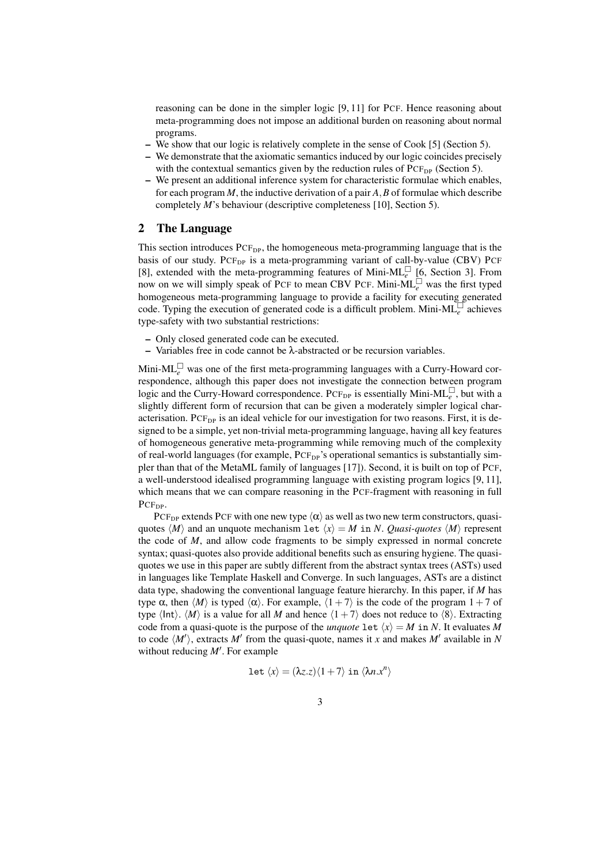reasoning can be done in the simpler logic [9, 11] for PCF. Hence reasoning about meta-programming does not impose an additional burden on reasoning about normal programs.

- We show that our logic is relatively complete in the sense of Cook [5] (Section 5).
- We demonstrate that the axiomatic semantics induced by our logic coincides precisely with the contextual semantics given by the reduction rules of  $PCF<sub>DP</sub>$  (Section 5).
- We present an additional inference system for characteristic formulae which enables, for each program *M*, the inductive derivation of a pair *A*,*B* of formulae which describe completely *M*'s behaviour (descriptive completeness [10], Section 5).

#### 2 The Language

This section introduces  $PCF_{DP}$ , the homogeneous meta-programming language that is the basis of our study.  $PCF_{DP}$  is a meta-programming variant of call-by-value (CBV) PCF [8], extended with the meta-programming features of Mini-ML $_e^{\square}$  [6, Section 3]. From now on we will simply speak of PCF to mean CBV PCF. Mini- $ML_e^{\square}$  was the first typed homogeneous meta-programming language to provide a facility for executing generated code. Typing the execution of generated code is a difficult problem. Mini-ML $_{e}^{\square}$  achieves type-safety with two substantial restrictions:

- Only closed generated code can be executed.
- Variables free in code cannot be λ-abstracted or be recursion variables.

Mini-ML<sup> $\Box$ </sup> was one of the first meta-programming languages with a Curry-Howard correspondence, although this paper does not investigate the connection between program logic and the Curry-Howard correspondence. PCF<sub>DP</sub> is essentially Mini-ML<sup> $\Box$ </sup>, but with a slightly different form of recursion that can be given a moderately simpler logical characterisation. PCF<sub>DP</sub> is an ideal vehicle for our investigation for two reasons. First, it is designed to be a simple, yet non-trivial meta-programming language, having all key features of homogeneous generative meta-programming while removing much of the complexity of real-world languages (for example,  $PCF_{DP}$ 's operational semantics is substantially simpler than that of the MetaML family of languages [17]). Second, it is built on top of PCF, a well-understood idealised programming language with existing program logics [9, 11], which means that we can compare reasoning in the PCF-fragment with reasoning in full PCF<sub>DP</sub>.

PCF<sub>DP</sub> extends PCF with one new type  $\langle \alpha \rangle$  as well as two new term constructors, quasiquotes  $\langle M \rangle$  and an unquote mechanism let  $\langle x \rangle = M$  in *N*. *Quasi-quotes*  $\langle M \rangle$  represent the code of *M*, and allow code fragments to be simply expressed in normal concrete syntax; quasi-quotes also provide additional benefits such as ensuring hygiene. The quasiquotes we use in this paper are subtly different from the abstract syntax trees (ASTs) used in languages like Template Haskell and Converge. In such languages, ASTs are a distinct data type, shadowing the conventional language feature hierarchy. In this paper, if *M* has type  $\alpha$ , then  $\langle M \rangle$  is typed  $\langle \alpha \rangle$ . For example,  $\langle 1 + 7 \rangle$  is the code of the program 1 + 7 of type  $\langle \text{Int} \rangle$ .  $\langle M \rangle$  is a value for all *M* and hence  $\langle 1+7 \rangle$  does not reduce to  $\langle 8 \rangle$ . Extracting code from a quasi-quote is the purpose of the *unquote* let  $\langle x \rangle = M$  in *N*. It evaluates *M* to code  $\langle M' \rangle$ , extracts *M'* from the quasi-quote, names it *x* and makes *M'* available in *N* without reducing  $M'$ . For example

$$
\mathtt{let} \langle x \rangle = (\lambda z. z) \langle 1 + 7 \rangle \mathtt{ in } \langle \lambda n. x^n \rangle
$$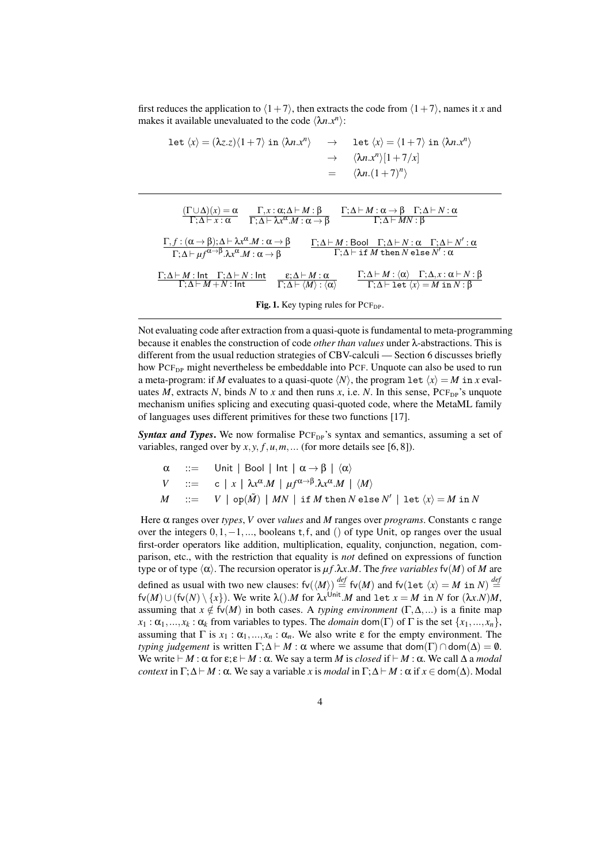first reduces the application to  $\langle 1+7 \rangle$ , then extracts the code from  $\langle 1+7 \rangle$ , names it *x* and makes it available unevaluated to the code  $\langle \lambda n.x^n \rangle$ :

$$
\begin{array}{rcl}\n\text{let } \langle x \rangle = (\lambda z. z) \langle 1 + 7 \rangle \text{ in } \langle \lambda n. x^n \rangle & \rightarrow & \text{let } \langle x \rangle = \langle 1 + 7 \rangle \text{ in } \langle \lambda n. x^n \rangle \\
& \rightarrow & \langle \lambda n. x^n \rangle [1 + 7/x] \\
& = & \langle \lambda n. (1 + 7)^n \rangle\n\end{array}
$$

| $(\Gamma \cup \Delta)(x) = \alpha$<br>$\Gamma: \Delta \vdash x : \alpha$                                                                                                                                                                | $\Gamma, x : \alpha; \Delta \vdash M : \beta$<br>$\Gamma: \Delta \vdash \lambda x^{\alpha}.M : \alpha \rightarrow \beta$ | $\Gamma; \Delta \vdash M : \alpha \rightarrow \beta \quad \Gamma; \Delta \vdash N : \alpha$<br>$\Gamma$ ; $\Delta$ $\vdash$ $MN$ : $\beta$                                                 |  |
|-----------------------------------------------------------------------------------------------------------------------------------------------------------------------------------------------------------------------------------------|--------------------------------------------------------------------------------------------------------------------------|--------------------------------------------------------------------------------------------------------------------------------------------------------------------------------------------|--|
| $\Gamma, f : (\alpha \rightarrow \beta); \Delta \vdash \lambda x^{\alpha}.M : \alpha \rightarrow \beta$<br>$\boxed{\Gamma; \Delta \vdash \mu f^{\alpha \rightarrow \beta} \cdot \lambda x^{\alpha} \cdot M : \alpha \rightarrow \beta}$ |                                                                                                                          | $\frac{\Gamma;\Delta\vdash M:\text{Bool}\quad \Gamma;\Delta\vdash N:\alpha\quad \Gamma;\Delta\vdash N':\alpha}{\Gamma;\Delta\vdash \texttt{if }M\texttt{ then }N\texttt{ else }N':\alpha}$ |  |
| $\frac{\Gamma;\Delta \vdash M:\textsf{Int} \quad \Gamma;\Delta \vdash N:\textsf{Int}}{\Gamma;\Delta \vdash M+N:\textsf{Int}}$                                                                                                           | $\epsilon: \Delta \vdash M : \alpha$<br>$\Gamma; \Delta \vdash \langle M \rangle : \langle \alpha \rangle$               | $\frac{\Gamma;\Delta \vdash M:\langle\alpha\rangle \quad \Gamma;\Delta,x:\alpha\vdash N:\beta}{\Gamma;\Delta \vdash \texttt{let}\ \langle x\rangle = M\texttt{ in }N:\beta}$               |  |
| Fig. 1. Key typing rules for PCF <sub>DP</sub> .                                                                                                                                                                                        |                                                                                                                          |                                                                                                                                                                                            |  |

Not evaluating code after extraction from a quasi-quote is fundamental to meta-programming because it enables the construction of code *other than values* under λ-abstractions. This is different from the usual reduction strategies of CBV-calculi — Section 6 discusses briefly how PCF<sub>DP</sub> might nevertheless be embeddable into PCF. Unquote can also be used to run a meta-program: if *M* evaluates to a quasi-quote  $\langle N \rangle$ , the program let  $\langle x \rangle = M$  in *x* evaluates *M*, extracts *N*, binds *N* to *x* and then runs *x*, i.e. *N*. In this sense,  $PCF_{DP}$ 's unquote mechanism unifies splicing and executing quasi-quoted code, where the MetaML family of languages uses different primitives for these two functions [17].

**Syntax and Types.** We now formalise  $PCF_{DP}$ 's syntax and semantics, assuming a set of variables, ranged over by  $x, y, f, u, m, \ldots$  (for more details see [6, 8]).

- $\alpha$  ::= Unit | Bool | Int |  $\alpha \rightarrow \beta$  |  $\langle \alpha \rangle$
- *V* ::= c | *x* | λ*x*<sup>α</sup>.*M* | *μf*<sup>α→β</sup>.λ*x*<sup>α</sup>.*M* |  $\langle M \rangle$
- $M$  ::= *V* | op $(\tilde{M})$  |  $MN$  | if  $M$  then  $N$  else  $N'$  | let  $\langle x \rangle = M$  in  $N$

Here α ranges over *types*, *V* over *values* and *M* ranges over *programs*. Constants c range over the integers  $0, 1, -1, \ldots$ , booleans t,f, and () of type Unit, op ranges over the usual first-order operators like addition, multiplication, equality, conjunction, negation, comparison, etc., with the restriction that equality is *not* defined on expressions of function type or of type  $\langle \alpha \rangle$ . The recursion operator is *µ f*. $\lambda x.M$ . The *free variables* fv(*M*) of *M* are defined as usual with two new clauses:  $\text{fv}(\langle M \rangle) \stackrel{\text{def}}{=} \text{fv}(M)$  and  $\text{fv}(\text{let } \langle x \rangle = M \text{ in } N) \stackrel{\text{def}}{=}$  $f_V(M) \cup (f_V(N) \setminus \{x\})$ . We write  $\lambda()$ . *M* for  $\lambda x^{Unit}.M$  and let  $x = M$  in *N* for  $(\lambda x.N)M$ , assuming that  $x \notin f_v(M)$  in both cases. A *typing environment*  $(\Gamma, \Delta, ...)$  is a finite map  $x_1 : \alpha_1, \ldots, x_k : \alpha_k$  from variables to types. The *domain* dom(Γ) of Γ is the set  $\{x_1, \ldots, x_n\}$ , assuming that  $\Gamma$  is  $x_1 : \alpha_1, ..., x_n : \alpha_n$ . We also write  $\varepsilon$  for the empty environment. The *typing judgement* is written  $\Gamma$ ;  $\Delta \vdash M$  :  $\alpha$  where we assume that dom( $\Gamma$ )  $\cap$  dom( $\Delta$ ) = 0. We write  $\vdash M : \alpha$  for  $\varepsilon; \varepsilon \vdash M : \alpha$ . We say a term *M* is *closed* if  $\vdash M : \alpha$ . We call  $\Delta$  a *modal context* in  $\Gamma$ ;  $\Delta \vdash M$  :  $\alpha$ . We say a variable *x* is *modal* in  $\Gamma$ ;  $\Delta \vdash M$  :  $\alpha$  if  $x \in \text{dom}(\Delta)$ . Modal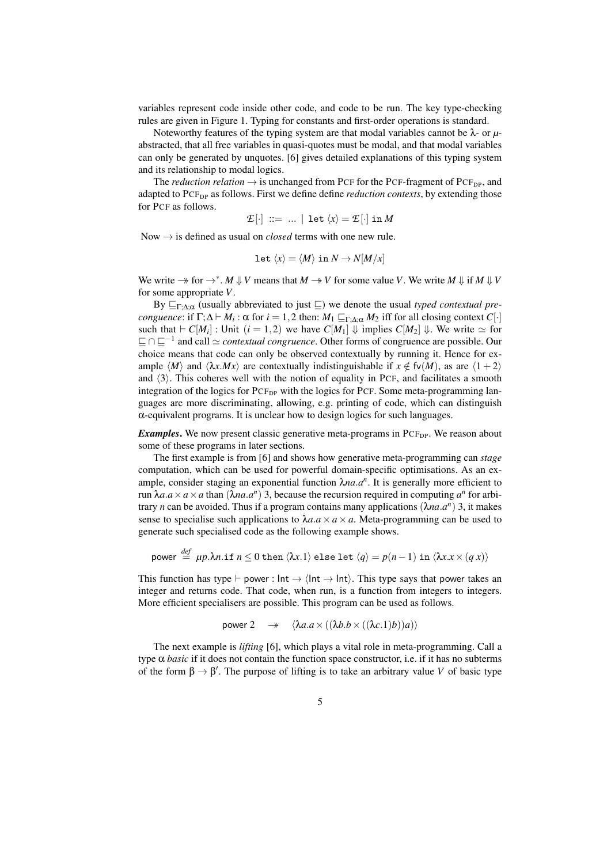variables represent code inside other code, and code to be run. The key type-checking rules are given in Figure 1. Typing for constants and first-order operations is standard.

Noteworthy features of the typing system are that modal variables cannot be λ- or *µ*abstracted, that all free variables in quasi-quotes must be modal, and that modal variables can only be generated by unquotes. [6] gives detailed explanations of this typing system and its relationship to modal logics.

The *reduction relation*  $\rightarrow$  is unchanged from PCF for the PCF-fragment of PCF<sub>DP</sub>, and adapted to PCF<sub>DP</sub> as follows. First we define define *reduction contexts*, by extending those for PCF as follows.

$$
\mathcal{L}[\cdot] \ ::= \ \ldots \ | \ \texttt{let} \ \langle x \rangle = \mathcal{L}[\cdot] \ \texttt{in} \ M
$$

Now → is defined as usual on *closed* terms with one new rule.

$$
\mathtt{let} \langle x \rangle = \langle M \rangle \mathtt{in} \, N \to N[M/x]
$$

We write  $\rightarrow$  for  $\rightarrow$ <sup>\*</sup>. *M*  $\downarrow$  *V* means that *M*  $\rightarrow$  *V* for some value *V*. We write *M*  $\downarrow$  if *M*  $\downarrow$  *V* for some appropriate *V*.

By  $\sqsubseteq_{\Gamma:\Delta:\alpha}$  (usually abbreviated to just  $\sqsubseteq$ ) we denote the usual *typed contextual preconguence*: if  $\Gamma$ ;  $\Delta \vdash M_i$ :  $\alpha$  for  $i = 1, 2$  then:  $M_1 \sqsubseteq_{\Gamma; \Delta; \alpha} M_2$  iff for all closing context  $C[\cdot]$ such that  $\vdash C[M_i]$ : Unit  $(i = 1, 2)$  we have  $C[M_1] \Downarrow$  implies  $C[M_2] \Downarrow$ . We write  $\simeq$  for  $\sqsubseteq \cap \sqsubseteq^{-1}$  and call  $\simeq$  *contextual congruence*. Other forms of congruence are possible. Our choice means that code can only be observed contextually by running it. Hence for example  $\langle M \rangle$  and  $\langle \lambda x.Mx \rangle$  are contextually indistinguishable if  $x \notin f_v(M)$ , as are  $\langle 1 + 2 \rangle$ and  $\langle 3 \rangle$ . This coheres well with the notion of equality in PCF, and facilitates a smooth integration of the logics for  $PCF_{DP}$  with the logics for PCF. Some meta-programming languages are more discriminating, allowing, e.g. printing of code, which can distinguish α-equivalent programs. It is unclear how to design logics for such languages.

*Examples*. We now present classic generative meta-programs in PCF<sub>DP</sub>. We reason about some of these programs in later sections.

The first example is from [6] and shows how generative meta-programming can *stage* computation, which can be used for powerful domain-specific optimisations. As an example, consider staging an exponential function  $λna.a<sup>n</sup>$ . It is generally more efficient to run  $\lambda a.a \times a \times a$  than ( $\lambda na.a^n$ ) 3, because the recursion required in computing  $a^n$  for arbitrary *n* can be avoided. Thus if a program contains many applications (λ*na*.*a n* ) 3, it makes sense to specialise such applications to  $\lambda a.a \times a \times a$ . Meta-programming can be used to generate such specialised code as the following example shows.

power 
$$
\stackrel{def}{=} \mu p.\lambda n.\text{if } n \leq 0 \text{ then } \langle \lambda x.1 \rangle \text{ else let } \langle q \rangle = p(n-1) \text{ in } \langle \lambda x. x \times (q x) \rangle
$$

 $\overline{d}$ 

This function has type  $\vdash$  power : Int  $\rightarrow$   $\langle$  Int  $\rangle$  Int). This type says that power takes an integer and returns code. That code, when run, is a function from integers to integers. More efficient specialisers are possible. This program can be used as follows.

$$
power 2 \rightarrow \langle \lambda a.a \times ((\lambda b.b \times ((\lambda c.1)b))a) \rangle
$$

The next example is *lifting* [6], which plays a vital role in meta-programming. Call a type  $\alpha$  *basic* if it does not contain the function space constructor, i.e. if it has no subterms of the form  $\beta \rightarrow \beta'$ . The purpose of lifting is to take an arbitrary value *V* of basic type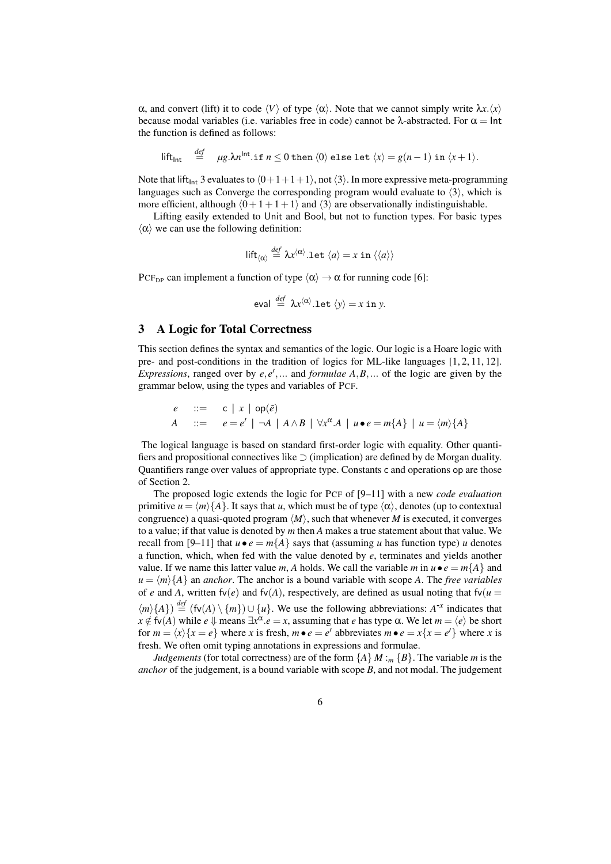$\alpha$ , and convert (lift) it to code  $\langle V \rangle$  of type  $\langle \alpha \rangle$ . Note that we cannot simply write  $\lambda x.\langle x \rangle$ because modal variables (i.e. variables free in code) cannot be  $\lambda$ -abstracted. For  $\alpha = \text{Int}$ the function is defined as follows:

$$
\text{lift}_{\text{Int}} \quad \stackrel{def}{=} \quad \text{µg}.\lambda n^{\text{Int}}.\text{if } n \leq 0 \text{ then } \langle 0 \rangle \text{ else let } \langle x \rangle = g(n-1) \text{ in } \langle x+1 \rangle.
$$

Note that lift<sub>Int</sub> 3 evaluates to  $(0+1+1+1)$ , not  $\langle 3 \rangle$ . In more expressive meta-programming languages such as Converge the corresponding program would evaluate to  $\langle 3 \rangle$ , which is more efficient, although  $(0+1+1+1)$  and  $\langle 3 \rangle$  are observationally indistinguishable.

Lifting easily extended to Unit and Bool, but not to function types. For basic types  $\langle \alpha \rangle$  we can use the following definition:

$$
\mathsf{lift}_{\langle \alpha \rangle} \stackrel{\textit{def}}{=} \lambda x^{\langle \alpha \rangle}.\mathtt{let} \langle a \rangle = x \mathtt{in} \langle \langle a \rangle \rangle
$$

PCF<sub>DP</sub> can implement a function of type  $\langle \alpha \rangle \rightarrow \alpha$  for running code [6]:

eval 
$$
\stackrel{def}{=} \lambda x^{\langle \alpha \rangle}
$$
.  
Let  $\langle y \rangle = x$  in y.

#### 3 A Logic for Total Correctness

This section defines the syntax and semantics of the logic. Our logic is a Hoare logic with pre- and post-conditions in the tradition of logics for ML-like languages [1, 2, 11, 12]. *Expressions*, ranged over by  $e, e', \ldots$  and *formulae*  $A, B, \ldots$  of the logic are given by the grammar below, using the types and variables of PCF.

 $e$  ::= c | *x* | op( $\tilde{e}$ ) *A* ::=  $e = e' \mid \neg A \mid A \wedge B \mid \forall x^{\alpha}.A \mid u \bullet e = m\{A\} \mid u = \langle m \rangle \{A\}$ 

The logical language is based on standard first-order logic with equality. Other quantifiers and propositional connectives like  $\supset$  (implication) are defined by de Morgan duality. Quantifiers range over values of appropriate type. Constants c and operations op are those of Section 2.

The proposed logic extends the logic for PCF of [9–11] with a new *code evaluation* primitive  $u = \langle m \rangle$  { $A$ }. It says that *u*, which must be of type  $\langle \alpha \rangle$ , denotes (up to contextual congruence) a quasi-quoted program  $\langle M \rangle$ , such that whenever *M* is executed, it converges to a value; if that value is denoted by *m* then *A* makes a true statement about that value. We recall from [9–11] that  $u \bullet e = m\{A\}$  says that (assuming *u* has function type) *u* denotes a function, which, when fed with the value denoted by *e*, terminates and yields another value. If we name this latter value *m*, *A* holds. We call the variable *m* in  $u \bullet e = m\{A\}$  and  $u = \langle m \rangle$  { $A$ } an *anchor*. The anchor is a bound variable with scope *A*. The *free variables* of *e* and *A*, written  $fv(e)$  and  $fv(A)$ , respectively, are defined as usual noting that  $fv(u =$  $\langle m \rangle$ {*A*})  $\stackrel{def}{=}$  (fv(*A*) \ {*m*})  $\cup$  {*u*}. We use the following abbreviations: *A*<sup>-*x*</sup> indicates that  $x \notin \text{fv}(A)$  while  $e \Downarrow$  means  $\exists x^{\alpha}. e = x$ , assuming that *e* has type  $\alpha$ . We let  $m = \langle e \rangle$  be short for  $m = \langle x \rangle \{x = e\}$  where *x* is fresh,  $m \bullet e = e'$  abbreviates  $m \bullet e = x\{x = e'\}$  where *x* is fresh. We often omit typing annotations in expressions and formulae.

*Judgements* (for total correctness) are of the form  $\{A\}$  *M* :<sub>*m*</sub>  $\{B\}$ . The variable *m* is the *anchor* of the judgement, is a bound variable with scope *B*, and not modal. The judgement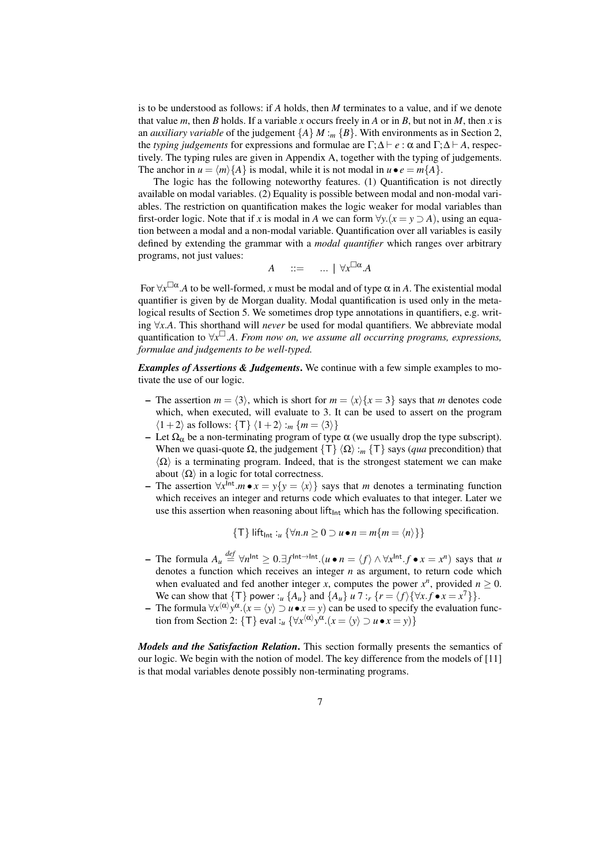is to be understood as follows: if *A* holds, then *M* terminates to a value, and if we denote that value *m*, then *B* holds. If a variable *x* occurs freely in *A* or in *B*, but not in *M*, then *x* is an *auxiliary variable* of the judgement  $\{A\}$  *M* :<sub>*m*</sub>  $\{B\}$ . With environments as in Section 2, the *typing judgements* for expressions and formulae are  $\Gamma$ ;  $\Delta \vdash e : \alpha$  and  $\Gamma$ ;  $\Delta \vdash A$ , respectively. The typing rules are given in Appendix A, together with the typing of judgements. The anchor in  $u = \langle m \rangle{A}$  is modal, while it is not modal in  $u \bullet e = m{A}$ .

The logic has the following noteworthy features. (1) Quantification is not directly available on modal variables. (2) Equality is possible between modal and non-modal variables. The restriction on quantification makes the logic weaker for modal variables than first-order logic. Note that if *x* is modal in *A* we can form  $\forall y$ . ( $x = y \supset A$ ), using an equation between a modal and a non-modal variable. Quantification over all variables is easily defined by extending the grammar with a *modal quantifier* which ranges over arbitrary programs, not just values:

$$
A \quad ::= \quad ... \mid \forall x^{\Box \alpha} A
$$

For  $\forall x^{\Box \alpha}$ . *A* to be well-formed, *x* must be modal and of type  $\alpha$  in *A*. The existential modal quantifier is given by de Morgan duality. Modal quantification is used only in the metalogical results of Section 5. We sometimes drop type annotations in quantifiers, e.g. writing ∀*x*.*A*. This shorthand will *never* be used for modal quantifiers. We abbreviate modal quantification to ∀*x* .*A*. *From now on, we assume all occurring programs, expressions, formulae and judgements to be well-typed.*

*Examples of Assertions & Judgements*. We continue with a few simple examples to motivate the use of our logic.

- The assertion  $m = \langle 3 \rangle$ , which is short for  $m = \langle x \rangle \{x = 3\}$  says that *m* denotes code which, when executed, will evaluate to 3. It can be used to assert on the program  $\langle 1+2 \rangle$  as follows:  $\{T\}$   $\langle 1+2 \rangle$  :*m*  $\{m = \langle 3 \rangle\}$
- Let  $\Omega_{\alpha}$  be a non-terminating program of type  $\alpha$  (we usually drop the type subscript). When we quasi-quote  $\Omega$ , the judgement  $\{T\} \langle \Omega \rangle :_m \{T\}$  says (*qua* precondition) that  $\langle \Omega \rangle$  is a terminating program. Indeed, that is the strongest statement we can make about  $\langle \Omega \rangle$  in a logic for total correctness.
- The assertion  $\forall x^{\text{Int}} \cdot m \bullet x = y\{y = \langle x \rangle\}$  says that *m* denotes a terminating function which receives an integer and returns code which evaluates to that integer. Later we use this assertion when reasoning about lift $_{Int}$  which has the following specification.

$$
\{\mathsf{T}\}\,\text{lift}_{\text{Int}}:_{u}\{\forall n.n\geq 0\supset u\bullet n=m\{m=\langle n\rangle\}\}
$$

- $A_u \stackrel{def}{=} \forall n^{\text{Int}} \geq 0. \exists f^{\text{Int}\rightarrow\text{Int}}.(u \cdot n = \langle f \rangle \land \forall x^{\text{Int}}. f \cdot x = x^n)$  says that *u* denotes a function which receives an integer *n* as argument, to return code which when evaluated and fed another integer *x*, computes the power  $x^n$ , provided  $n \geq 0$ . We can show that  $\{\top\}$  power :<sub>*u*</sub>  $\{A_u\}$  and  $\{A_u\}$  *u* 7 :*r*  $\{r = \langle f \rangle \{\forall x . f \bullet x = x^7\} \}.$
- − The formula  $\forall x^{(\alpha)}y^{\alpha}$ .  $(x = \langle y \rangle \supset u \bullet x = y)$  can be used to specify the evaluation function from Section 2: {T} eval :<sub>*u*</sub> { $\forall x^{(\alpha)}y^{\alpha}.(x = \langle y \rangle \supset u \bullet x = y)$ }

*Models and the Satisfaction Relation*. This section formally presents the semantics of our logic. We begin with the notion of model. The key difference from the models of [11] is that modal variables denote possibly non-terminating programs.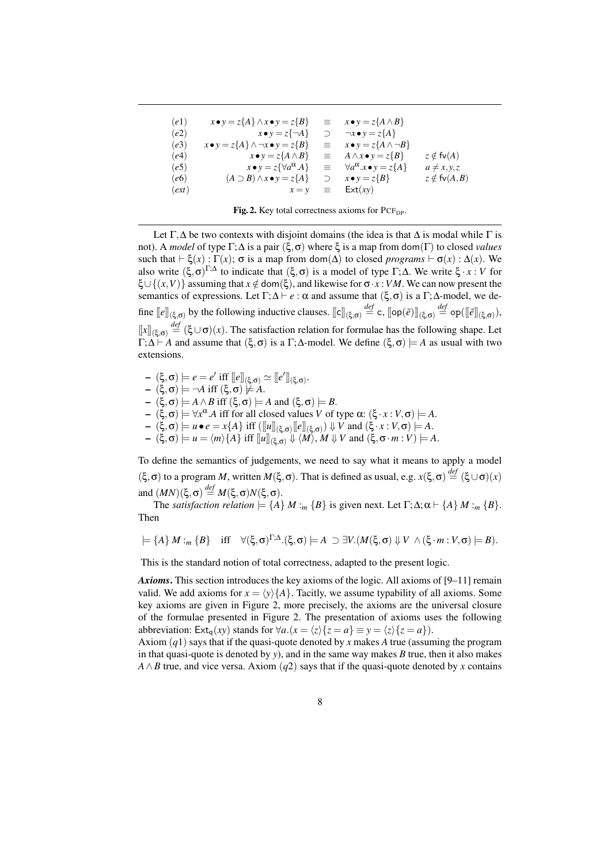| (e1)  | $x \bullet y = z \{A\} \land x \bullet y = z \{B\}$      | $\equiv$  | $x \bullet y = z \{A \land B\}$                  |                             |
|-------|----------------------------------------------------------|-----------|--------------------------------------------------|-----------------------------|
| (e2)  | $x \bullet y = z \{\neg A\}$                             | $\supset$ | $\neg x \bullet y = z{A}$                        |                             |
| (e3)  | $x \bullet y = z \{A\} \land \neg x \bullet y = z \{B\}$ | $\equiv$  | $x \bullet y = z \{ A \land \neg B \}$           |                             |
| (e4)  | $x \bullet y = z \{A \land B\}$                          | $\equiv$  | $A \wedge x \bullet y = z \{B\}$                 | $z \notin \mathsf{fv}(A)$   |
| (e5)  | $x \bullet y = z \{ \forall a^{\alpha}.A \}$             |           | $\equiv \forall a^{\alpha}.x \bullet y = z\{A\}$ | $a \neq x, y, z$            |
| (e6)  | $(A \supset B) \wedge x \bullet y = z \{A\}$             | $\supset$ | $x \bullet y = z \{B\}$                          | $z \notin \mathsf{fv}(A,B)$ |
| (ext) | $x = y$                                                  |           | $\equiv$ Ext $(xy)$                              |                             |

Fig. 2. Key total correctness axioms for  $PCF_{DP}$ .

Let Γ, Δ be two contexts with disjoint domains (the idea is that  $\Delta$  is modal while Γ is not). A *model* of type Γ;∆ is a pair (ξ,σ) where ξ is a map from dom(Γ) to closed *values* such that  $\vdash \xi(x) : \Gamma(x)$ ;  $\sigma$  is a map from dom( $\Delta$ ) to closed *programs*  $\vdash \sigma(x) : \Delta(x)$ . We also write  $(\xi, \sigma)^{\Gamma, \Delta}$  to indicate that  $(\xi, \sigma)$  is a model of type  $\Gamma, \Delta$ . We write  $\xi \cdot x : V$  for ξ∪{(*x*,*V*)} assuming that *x* ∉ dom(ξ), and likewise for σ·*x* : *VM*. We can now present the semantics of expressions. Let  $\Gamma$ ;  $\Delta \vdash e : \alpha$  and assume that  $(\xi, \sigma)$  is a  $\Gamma$ ;  $\Delta$ -model, we define  $[[e]]_{(\xi,\sigma)}$  by the following inductive clauses.  $[[c]]_{(\xi,\sigma)} \stackrel{def}{=} c$ ,  $[[op(\tilde{e})]]_{(\xi,\sigma)} \stackrel{def}{=} op([\tilde{e}]]_{(\xi,\sigma)}$ ,  $[[x]]_{(\xi,\sigma)} \stackrel{def}{=} (\xi \cup \sigma)(x)$ . The satisfaction relation for formulae has the following shape. Let  $\Gamma$ ; $\Delta$   $\vdash$  *A* and assume that (ξ, σ) is a Γ;  $\Delta$ -model. We define (ξ, σ)  $\models$  *A* as usual with two extensions.

 $(\xi, \sigma) \models e = e'$  iff  $[[e]]_{(\xi, \sigma)} \simeq [[e']]_{(\xi, \sigma)}.$  $-$  (ξ,σ)  $\models \neg A$  iff (ξ,σ)  $\not\models A$ .  $(\xi, \sigma) \models A \land B$  iff  $(\xi, \sigma) \models A$  and  $(\xi, \sigma) \models B$ .  $-$  (ξ,σ)  $\models$   $\forall$ *x*<sup>α</sup>.*A* iff for all closed values *V* of type α: (ξ⋅*x* : *V*,σ)  $\models$  *A*.  $(- (\xi, \sigma) \models u \bullet e = x\{A\} \text{ iff } (\llbracket u \rrbracket_{(\xi, \sigma)} [\llbracket e \rrbracket_{(\xi, \sigma)}) \Downarrow V \text{ and } (\xi \cdot x : V, \sigma) \models A.$  $(\xi, \sigma) \models u = \langle m \rangle \{A\}$  iff  $[[u]]_{(\xi, \sigma)} \Downarrow \langle M \rangle$ ,  $M \Downarrow V$  and  $(\xi, \sigma \cdot m : V) \models A$ .

To define the semantics of judgements, we need to say what it means to apply a model  $(ξ, σ)$  to a program *M*, written *M*(ξ, σ). That is defined as usual, e.g.  $x(ξ, σ) \stackrel{def}{=} (ξ ∪ σ)(x)$ and  $(MN)(\xi, \sigma) \stackrel{def}{=} M(\xi, \sigma)N(\xi, \sigma)$ .

The *satisfaction relation*  $\models {A} \land M :_{m} {B}$  is given next. Let  $\Gamma; \Delta; \alpha \vdash {A} \land M :_{m} {B}$ . Then

$$
\models \{A\} \ M :_{m} \{B\} \quad \text{iff} \quad \forall (\xi, \sigma)^{\Gamma, \Delta}.(\xi, \sigma) \models A \supset \exists V. (M(\xi, \sigma) \Downarrow V \ \wedge (\xi \cdot m : V, \sigma) \models B).
$$

This is the standard notion of total correctness, adapted to the present logic.

*Axioms*. This section introduces the key axioms of the logic. All axioms of [9–11] remain valid. We add axioms for  $x = \langle y \rangle \{A\}$ . Tacitly, we assume typability of all axioms. Some key axioms are given in Figure 2, more precisely, the axioms are the universal closure of the formulae presented in Figure 2. The presentation of axioms uses the following abbreviation: Ext<sub>q</sub>(xy) stands for  $\forall a.(x = \langle z \rangle \{z = a\} \equiv y = \langle z \rangle \{z = a\}).$ 

Axiom (*q*1) says that if the quasi-quote denoted by *x* makes *A* true (assuming the program in that quasi-quote is denoted by *y*), and in the same way makes *B* true, then it also makes *A*∧*B* true, and vice versa. Axiom (*q*2) says that if the quasi-quote denoted by *x* contains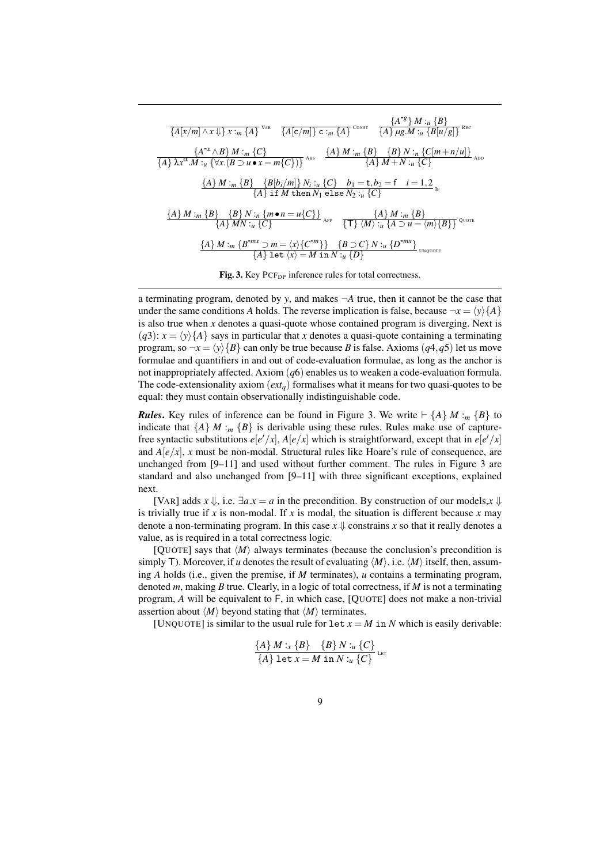$$
\frac{A[x/m]\wedge x \Downarrow\} x :_{m} \{A\}^{\vee_{AR}} \quad \frac{A[c/m]\} c :_{m} \{A\}^{\text{Cosst}} \quad \frac{A^{2}}{A} \mu g. M :_{u} \{B[u/g]\}^{\text{Rec}}
$$
\n
$$
\frac{A^{2} \wedge B}{A} \frac{M :_{m} \{C\}}{M :_{u} \{Vx.(B \supset u \bullet x = m\{C\})\}}^{\text{Ass}} \quad \frac{\{A\} M :_{m} \{B\} \quad \{B\} N :_{n} \{C[m+n/u]\}}{\{A\} M + N :_{u} \{C\}}
$$
\n
$$
\frac{\{A\} M :_{m} \{B\} \quad \{B[b_{i}/m]\} N_{i} :_{u} \{C\} \quad b_{1} = t, b_{2} = f \quad i = 1, 2}{\{A\} M :_{m} \{B\} \quad \{B\} N :_{n} \{m \bullet n = u\{C\}\}}^{\text{class}} \quad \frac{\{A\} M :_{m} \{B\}}{\{T\} \langle M \rangle :_{u} \{A \supset u = \langle m \rangle\{B\}\}}^{\text{Quorr}}
$$
\n
$$
\frac{\{A\} M :_{m} \{B\} \quad \{B\} N :_{n} \{m \bullet n = u\{C\}\}}{\{A\} MN :_{u} \{C\}}^{\text{com}}
$$
\n
$$
\frac{\{A\} M :_{m} \{B\}}{\{A\} M :_{m} \{B \} \text{etc.}}^{\text{Cos}} \quad \frac{\{B \supset C\} N :_{u} \{D^{-mx}\}}{\{B\} M :_{m} \{B\} \text{etc.}}^{\text{Quorr}}
$$

Fig. 3. Key PCF<sub>DP</sub> inference rules for total correctness.

a terminating program, denoted by *y*, and makes  $\neg A$  true, then it cannot be the case that under the same conditions *A* holds. The reverse implication is false, because  $\neg x = \langle y \rangle \{A\}$ is also true when *x* denotes a quasi-quote whose contained program is diverging. Next is  $(q3)$ :  $x = \langle y \rangle$  {A} says in particular that *x* denotes a quasi-quote containing a terminating program, so  $\neg x = \langle y \rangle \{B\}$  can only be true because *B* is false. Axioms (*q*4,*q*5) let us move formulae and quantifiers in and out of code-evaluation formulae, as long as the anchor is not inappropriately affected. Axiom  $(q6)$  enables us to weaken a code-evaluation formula. The code-extensionality axiom (*extq*) formalises what it means for two quasi-quotes to be equal: they must contain observationally indistinguishable code.

*Rules*. Key rules of inference can be found in Figure 3. We write  $\vdash \{A\}$  *M* :<sub>*m*</sub>  $\{B\}$  to indicate that  $\{A\}$  *M* :<sub>*m*</sub>  $\{B\}$  is derivable using these rules. Rules make use of capturefree syntactic substitutions  $e[e'/x]$ ,  $A[e/x]$  which is straightforward, except that in  $e[e'/x]$ and  $A[e/x]$ , *x* must be non-modal. Structural rules like Hoare's rule of consequence, are unchanged from [9–11] and used without further comment. The rules in Figure 3 are standard and also unchanged from [9–11] with three significant exceptions, explained next.

[VAR] adds  $x \Downarrow$ , i.e.  $\exists a.x = a$  in the precondition. By construction of our models  $x \Downarrow$ is trivially true if *x* is non-modal. If *x* is modal, the situation is different because *x* may denote a non-terminating program. In this case  $x \downarrow$  constrains x so that it really denotes a value, as is required in a total correctness logic.

[OUOTE] says that  $\langle M \rangle$  always terminates (because the conclusion's precondition is simply T). Moreover, if *u* denotes the result of evaluating  $\langle M \rangle$ , i.e.  $\langle M \rangle$  itself, then, assuming *A* holds (i.e., given the premise, if *M* terminates), *u* contains a terminating program, denoted *m*, making *B* true. Clearly, in a logic of total correctness, if *M* is not a terminating program, *A* will be equivalent to F, in which case, [QUOTE] does not make a non-trivial assertion about  $\langle M \rangle$  beyond stating that  $\langle M \rangle$  terminates.

[UNQUOTE] is similar to the usual rule for  $\text{let } x = M$  in *N* which is easily derivable:

$$
\frac{\{A\} M :_{x} \{B\} \quad \{B\} N :_{u} \{C\}}{\{A\} \text{let } x = M \text{ in } N :_{u} \{C\}} \text{ }^{LET}
$$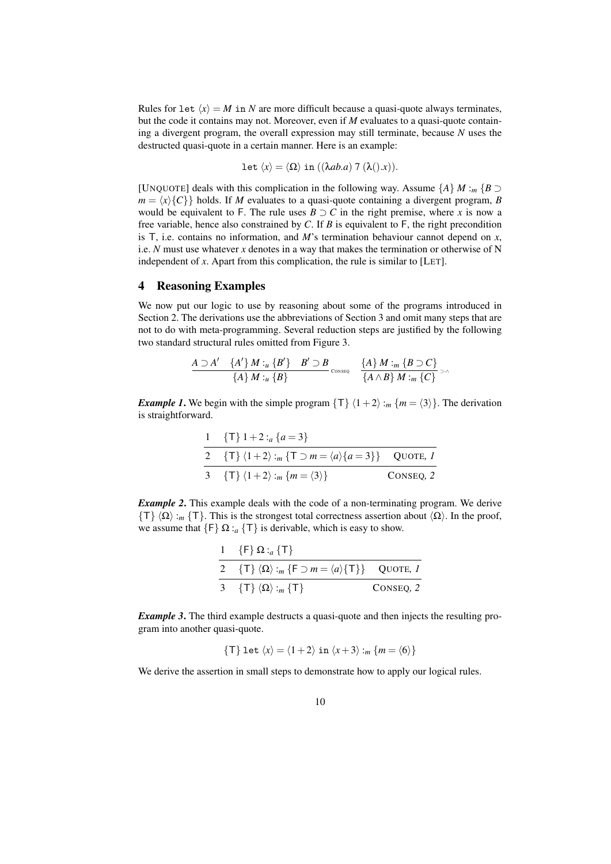Rules for let  $\langle x \rangle = M$  in *N* are more difficult because a quasi-quote always terminates, but the code it contains may not. Moreover, even if  $M$  evaluates to a quasi-quote containing a divergent program, the overall expression may still terminate, because *N* uses the destructed quasi-quote in a certain manner. Here is an example:

$$
\text{let } \langle x \rangle = \langle \Omega \rangle \text{ in } ((\lambda ab.a) 7 (\lambda().x)).
$$

[UNQUOTE] deals with this complication in the following way. Assume  $\{A\}$  *M* :*m*  $\{B \supset A\}$  $m = \langle x \rangle \{C\}$  holds. If *M* evaluates to a quasi-quote containing a divergent program, *B* would be equivalent to F. The rule uses  $B \supset C$  in the right premise, where *x* is now a free variable, hence also constrained by *C*. If *B* is equivalent to F, the right precondition is T, i.e. contains no information, and *M*'s termination behaviour cannot depend on *x*, i.e. *N* must use whatever *x* denotes in a way that makes the termination or otherwise of N independent of *x*. Apart from this complication, the rule is similar to [LET].

### 4 Reasoning Examples

We now put our logic to use by reasoning about some of the programs introduced in Section 2. The derivations use the abbreviations of Section 3 and omit many steps that are not to do with meta-programming. Several reduction steps are justified by the following two standard structural rules omitted from Figure 3.

$$
\frac{A\supset A'\quad \{A'\}\ M:_{u}\{B'\}\quad B'\supset B}{\{A\}\ M:_{u}\{B\}}\quad \frac{\{A\}\ M:_{m}\{B\supset C\}}{\{A\wedge B\}\ M:_{m}\{C\}}\quad \frac{\{A\}\ M:_{m}\{B\supset C\}}{\{A\wedge B\}\ M:_{m}\{C\}}
$$

*Example 1*. We begin with the simple program  $\{T\}$   $\{1+2\}$  :*m*  $\{m = \langle 3 \rangle\}$ . The derivation is straightforward.

| 1 $\{T\}$ 1 + 2 : <sub>a</sub> $\{a = 3\}$                                       |           |
|----------------------------------------------------------------------------------|-----------|
| 2 $\{T\}\langle 1+2\rangle :_m \{T\supset m=\langle a\rangle\{a=3\}\}\$ QUOTE, 1 |           |
| 3 $\{T\}\langle 1+2\rangle :_m \{m=\langle 3\rangle\}$                           | CONSEO, 2 |

*Example 2*. This example deals with the code of a non-terminating program. We derive  ${\{\mathsf{T}\}\}\langle \Omega \rangle :_{m} {\{\mathsf{T}\}\}\rangle$ . This is the strongest total correctness assertion about  $\langle \Omega \rangle$ . In the proof, we assume that  $\{F\} \Omega :_{a} \{T\}$  is derivable, which is easy to show.

| 1 $\{F\} \Omega :_a \{T\}$                                                       |           |
|----------------------------------------------------------------------------------|-----------|
| 2 $\{T\}\langle\Omega\rangle:_{m}\{F\supset m=\langle a\rangle\{T\}\}\$ QUOTE, 1 |           |
| 3 $\{T\} \langle \Omega \rangle :_{m} \{T\}$                                     | CONSEO, 2 |

*Example 3*. The third example destructs a quasi-quote and then injects the resulting program into another quasi-quote.

$$
\{\mathsf{T}\}\ \mathsf{let}\ \langle x\rangle = \langle 1+2\rangle\ \mathsf{in}\ \langle x+3\rangle\ \mathsf{:}_m\ \{m=\langle 6\rangle\}
$$

We derive the assertion in small steps to demonstrate how to apply our logical rules.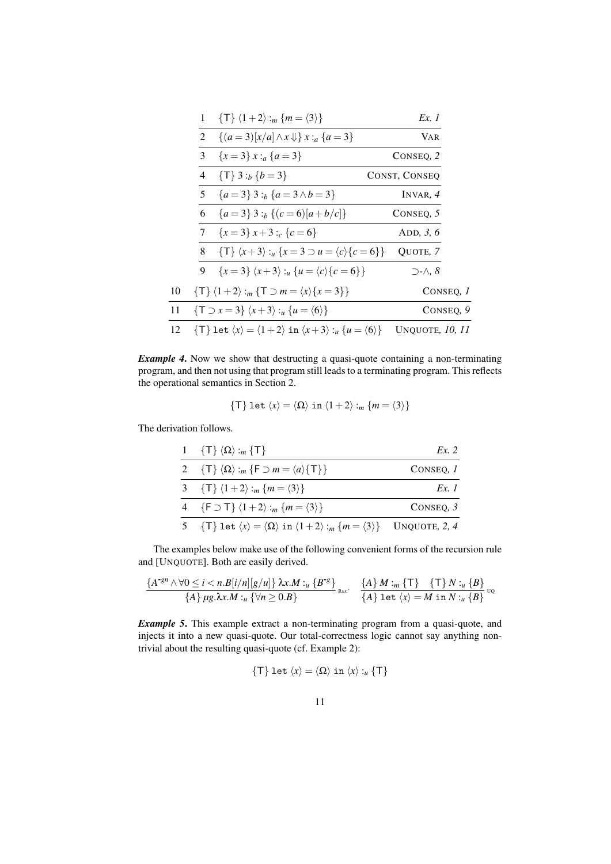|    |                | $\{\top\}\langle 1+2\rangle :_m \{m=\langle 3\rangle\}$                                                         | Ex. 1                  |  |
|----|----------------|-----------------------------------------------------------------------------------------------------------------|------------------------|--|
|    | 2              | $\{(a=3)[x/a] \wedge x \Downarrow\} x :_a \{a=3\}$                                                              | <b>VAR</b>             |  |
|    |                | 3 $\{x=3\} x :_{a} \{a=3\}$                                                                                     | CONSEQ <sub>2</sub>    |  |
|    | $\overline{4}$ | $\{T\}$ 3: <sub>b</sub> $\{b=3\}$                                                                               | CONST, CONSEQ          |  |
|    | 5              | ${a=3}$ 3: <sub>b</sub> ${a=3 \land b=3}$                                                                       | INVAR, $4$             |  |
|    | 6              | ${a=3}$ 3: <sub>b</sub> ${(c=6)[a+b/c]}$                                                                        | CONSEQ, 5              |  |
|    | 7              | $\{x=3\} x+3 :_{c} \{c=6\}$                                                                                     | ADD, $3, 6$            |  |
|    | 8              | $\{\top\}\langle x+3\rangle :_{u} \{x=3 \supset u=\langle c\rangle\{c=6\}\}\$                                   | QUOTE, 7               |  |
|    | 9              | ${x = 3} \langle x+3 \rangle :_u \{u = \langle c \rangle \{c = 6\}\}\$                                          | $\supset$ -A, $8$      |  |
| 10 |                | $\{\top\}\langle 1+2\rangle :_{m} \{\top \supset m = \langle x \rangle \{x=3\}\}\$                              | CONSEQ, 1              |  |
| 11 |                | $\{T \supset x = 3\} \langle x+3 \rangle :_{u} \{u = \langle 6 \rangle\}$                                       | CONSEQ, 9              |  |
| 12 |                | $\{\top\}$ let $\langle x \rangle = \langle 1+2 \rangle$ in $\langle x+3 \rangle :_u \{u = \langle 6 \rangle\}$ | <b>UNQUOTE, 10, 11</b> |  |
|    |                |                                                                                                                 |                        |  |

*Example 4*. Now we show that destructing a quasi-quote containing a non-terminating program, and then not using that program still leads to a terminating program. This reflects the operational semantics in Section 2.

$$
\{\mathsf{T}\}\ \mathsf{let}\ \langle x\rangle = \langle \Omega\rangle\ \mathsf{in}\ \langle 1+2\rangle\ \mathsf{:}\_m\ \{m=\langle 3\rangle\}
$$

The derivation follows.

| 1 $\{T\} \langle \Omega \rangle :_{m} \{T\}$                                                                               | Ex2           |
|----------------------------------------------------------------------------------------------------------------------------|---------------|
| 2 $\{\mathsf{T}\}\langle\Omega\rangle:_{m}\{\mathsf{F}\supset m=\langle a\rangle\{\mathsf{T}\}\}\$                         | CONSEO, 1     |
| 3 $\{\mathsf{T}\}\langle 1+2\rangle :_{m} \{m=\langle 3\rangle\}$                                                          | Ex.1          |
| 4 $\{F \supset T\} \langle 1+2 \rangle :_m \{m = \langle 3 \rangle\}$                                                      | CONSEO, $3$   |
| 5 $\{\mathsf{T}\}\$ let $\langle x\rangle = \langle \Omega \rangle$ in $\langle 1+2 \rangle :_m \{m = \langle 3 \rangle\}$ | UNQUOTE, 2, 4 |
|                                                                                                                            |               |

The examples below make use of the following convenient forms of the recursion rule and [UNQUOTE]. Both are easily derived.

$$
\frac{\{A^{\text{-}gn} \wedge \forall 0 \le i < n.B[i/n][g/u]\} \lambda x.M :_u \{B^{\text{-}g}\}}{\{A\} \mu g.\lambda x.M :_u \{\forall n \ge 0.B\}} \text{Rec} \quad \frac{\{A\} M :_m \{T\} \{T\} N :_u \{B\}}{\{A\} \text{let } \langle x \rangle = M \text{ in } N :_u \{B\}} \text{ue}
$$

*Example 5*. This example extract a non-terminating program from a quasi-quote, and injects it into a new quasi-quote. Our total-correctness logic cannot say anything nontrivial about the resulting quasi-quote (cf. Example 2):

$$
\{\mathsf{T}\}\ \mathtt{let}\ \langle x\rangle = \langle \Omega\rangle\ \mathtt{in}\ \langle x\rangle :_{u} \{\mathsf{T}\}\
$$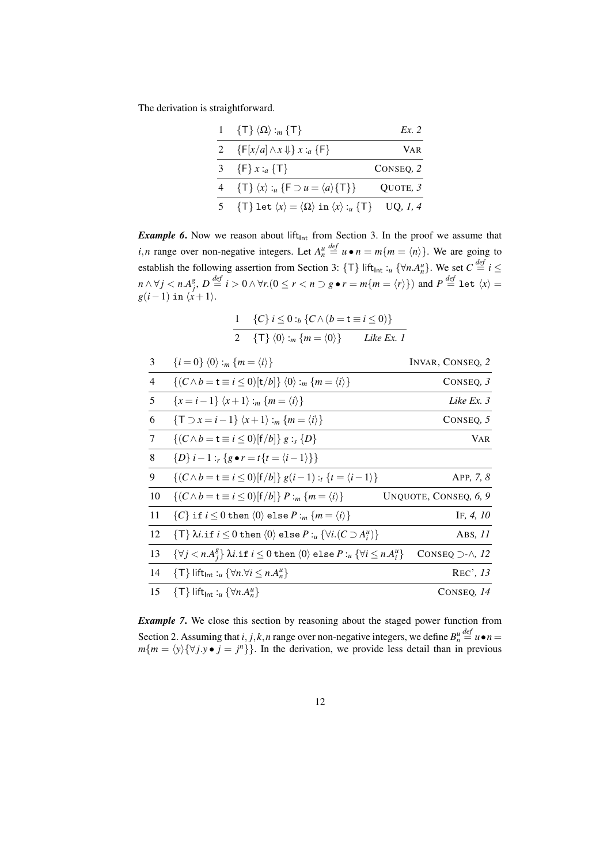The derivation is straightforward.

| $\{T\} \langle \Omega \rangle :_{m} \{T\}$                                                      | Ex.2                  |
|-------------------------------------------------------------------------------------------------|-----------------------|
| 2 $\{F[x/a] \wedge x \Downarrow\} x :_a \{F\}$                                                  | <b>VAR</b>            |
| 3 $\{F\} x :_a \{T\}$                                                                           | CONSEO <sub>, 2</sub> |
| $\{\top\}\langle x\rangle :_{u} \{F \supset u = \langle a\rangle\{\top\}\}\$                    | QUOTE, $3$            |
| $\{\top\}$ let $\langle x \rangle = \langle \Omega \rangle$ in $\langle x \rangle :_u \{\top\}$ | UQ, I, 4              |

*Example 6*. Now we reason about lift $_{\text{Int}}$  from Section 3. In the proof we assume that *i*,*n* range over non-negative integers. Let  $A_n^u$  $\stackrel{def}{=} u \bullet n = m\{m = \langle n \rangle\}$ . We are going to establish the following assertion from Section 3: {T} lift<sub>Int</sub> :<sub>*u*</sub> { $\forall n.A''_n$ }. We set  $C \stackrel{def}{=} i \leq$  $n\wedge \forall j< n. A_j^g,\, D\stackrel{def}{=}i>0\wedge \forall r.(0\leq r< n\supset g\bullet r=m\{m=\langle r\rangle\})$  and  $P\stackrel{def}{=} \texttt{let } \langle x\rangle=0$ *g*(*i*−1) in  $\langle$ *x*+1 $\rangle$ .

| 1 $\{C\}$ $i \leq 0 :_{b} \{C \wedge (b = t \equiv i \leq 0)\}\$ |            |
|------------------------------------------------------------------|------------|
| 2 $\{T\}\langle 0\rangle :_m \{m=\langle 0\rangle\}$             | Like Ex. 1 |

| 3              | $\{i=0\}\langle 0\rangle:_{m}\{m=\langle i\rangle\}$                                                                       | INVAR, CONSEQ, 2                 |
|----------------|----------------------------------------------------------------------------------------------------------------------------|----------------------------------|
| $\overline{4}$ | $\{(C \wedge b = t \equiv i \le 0)  t/b  \} \langle 0 \rangle :_m \{m = \langle i \rangle\}$                               | CONSEQ, $3$                      |
| 5              | $\{x=i-1\} \langle x+1 \rangle :_m \{m=\langle i \rangle\}$                                                                | Like Ex. 3                       |
| 6              | $\{T \supset x = i - 1\} \langle x + 1 \rangle :_m \{m = \langle i \rangle\}$                                              | CONSEQ, 5                        |
| 7              | $\{(C \wedge b = t \equiv i \le 0)   f/b   \} g :_{s} \{D\}$                                                               | VAR                              |
| 8              | ${D i - 1 :_{r} {g \bullet r = t{t = \langle i - 1 \rangle} } }$                                                           |                                  |
| 9              | $\{(C \wedge b = t \equiv i \le 0)   f/b   \} g(i-1) :_{t} \{t = \langle i-1 \rangle \}$                                   | APP, 7, 8                        |
| 10             | $\{(C \wedge b = t \equiv i \le 0)  f/b \} P :_{m} \{m = \langle i \rangle\}$                                              | UNQUOTE, CONSEQ, 6, 9            |
| 11             | $\{C\}$ if $i \leq 0$ then $\langle 0 \rangle$ else $P :_{m} \{m = \langle i \rangle\}$                                    | IF, $4, 10$                      |
| 12             | $\{\top\}$ $\lambda i$ if $i \leq 0$ then $\langle 0 \rangle$ else $P :_{u} \{\forall i . (C \supset A_i^u)\}$             | ABS, 11                          |
| 13             | $\{\forall j \leq n.A_i^g\}$ $\lambda i$ .if $i \leq 0$ then $\langle 0 \rangle$ else $P :_{u} \{\forall i \leq n.A_i^u\}$ | CONSEQ $\supset$ - $\wedge$ , 12 |
| 14             | $\{\top\}$ lift <sub>lnt</sub> : <sub>u</sub> $\{\forall n.\forall i\leq n.A_n^u\}$                                        | REC', 13                         |
| 15             | $\{\top\}$ lift <sub>lnt</sub> : <sub>u</sub> $\{\forall n.A_n^u\}$                                                        | CONSEQ, 14                       |

*Example 7*. We close this section by reasoning about the staged power function from Section 2. Assuming that  $i, j, k, n$  range over non-negative integers, we define  $B_n^u$  $\stackrel{def}{=} u \bullet n =$ *m*{*m* =  $\langle y \rangle$ {∀*j*.*y* • *j* = *j*<sup>*n*</sup>}}. In the derivation, we provide less detail than in previous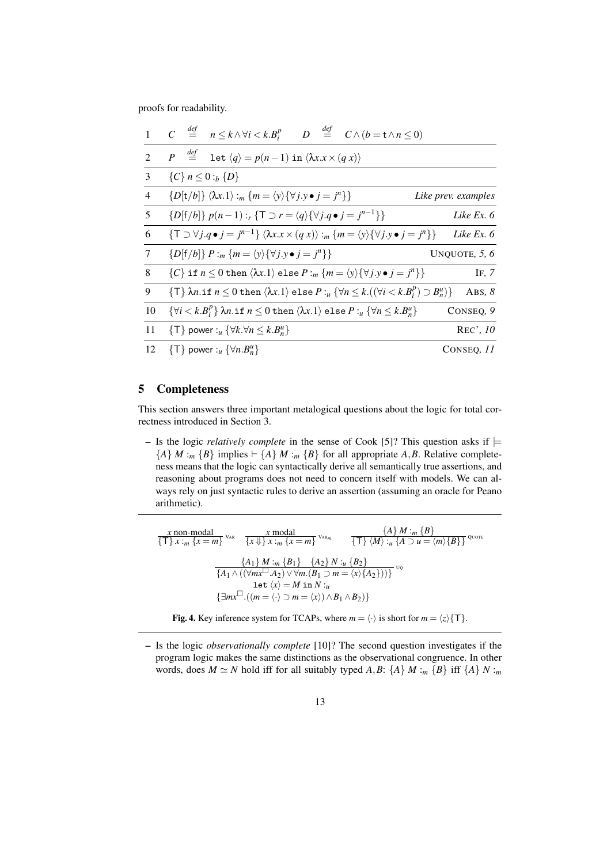proofs for readability.

| $\mathbf{1}$  | $C \stackrel{def}{=} n \le k \wedge \forall i < k.B_i^p$ $D \stackrel{def}{=} C \wedge (b = t \wedge n \le 0)$                                                        |                     |
|---------------|-----------------------------------------------------------------------------------------------------------------------------------------------------------------------|---------------------|
| $\mathcal{L}$ | $P \stackrel{def}{=}$<br>let $\langle q \rangle = p(n-1)$ in $\langle \lambda x.x \times (q x) \rangle$                                                               |                     |
| 3             | ${C} n \leq 0 :_{b} {D}$                                                                                                                                              |                     |
| 4             | $\{D[\mathsf{t}/b]\}\langle \lambda x.1\rangle :_m \{m=\langle y\rangle\{\forall j.y\bullet j=j^n\}\}\$                                                               | Like prev. examples |
| 5             | $\{D[f/b]\}\ p(n-1):_{r} \{T \supset r = \langle q \rangle \{\forall j. q \bullet j = j^{n-1}\}\}\$                                                                   | Like Ex. 6          |
| 6             | $\{\top \supset \forall j. q \bullet j = j^{n-1}\} \langle \lambda x. x \times (q x) \rangle :_m \{m = \langle y \rangle \{ \forall j. y \bullet j = j^n \}\}\$       | Like Ex. 6          |
| 7             | ${D[f/b]} P:_{m} {m = \langle y \rangle {\forall j . y \bullet j = j^{n}} }$                                                                                          | UNOUOTE, $5, 6$     |
| 8             | $\{C\}$ if $n \leq 0$ then $\langle \lambda x.1 \rangle$ else $P :_{m} \{m = \langle y \rangle \{ \forall j. y \bullet j = j^{n} \} \}$                               | IF, $7$             |
| 9             | $\{\top\} \lambda n \text{ if } n \leq 0 \text{ then } \langle \lambda x.1 \rangle \text{ else } P:_{u} \{\forall n \leq k. ((\forall i < k.B_i^p) \supset B_n^u)\}\$ | ABS, $8$            |
| 10            | $\{\forall i < k.B_i^p\}$ $\lambda n.$ if $n \leq 0$ then $\langle \lambda x.1 \rangle$ else $P :_{u} {\forall n \leq k.B_n^u\}$                                      | CONSEQ, 9           |
| 11            | $\{\top\}$ power : <sub>u</sub> $\{\forall k. \forall n \leq k.B_n^u\}$                                                                                               | REC', 10            |
| 12            | $\{\top\}$ power : <sub>u</sub> $\{\forall n.B_n^u\}$                                                                                                                 | CONSEQ, 11          |

#### 5 Completeness

This section answers three important metalogical questions about the logic for total correctness introduced in Section 3.

– Is the logic *relatively complete* in the sense of Cook [5]? This question asks if  $\models$  ${A}$  *M* :<sub>*m*</sub>  ${B}$  implies  $\vdash$   ${A}$  *M* :<sub>*m*</sub>  ${B}$  for all appropriate *A*,*B*. Relative completeness means that the logic can syntactically derive all semantically true assertions, and reasoning about programs does not need to concern itself with models. We can always rely on just syntactic rules to derive an assertion (assuming an oracle for Peano arithmetic).

$$
\frac{x \text{ non-modal}}{\{\text{T}\} x :_{m} \{x = m\}} \text{ Var } \frac{x \text{ modal}}{\{x \Downarrow\} x :_{m} \{x = m\}} \text{ Var } \frac{\{A\} M :_{m} \{B\}}{\{\text{T}\} \langle M \rangle :_{u} \{A \supset u = \langle m \rangle \{B\}\}} \text{ QUOTE}
$$
\n
$$
\frac{\{A_{1}\} M :_{m} \{B_{1}\} \{A_{2}\} N :_{u} \{B_{2}\}}{\{A_{1} \land ((\forall mx^{\Box}.A_{2}) \lor \forall m.(B_{1} \supset m = \langle x \rangle \{A_{2}\}))\}} \text{ UQ}
$$
\n
$$
\text{let } \langle x \rangle = M \text{ in } N :_{u}
$$
\n
$$
\{\exists mx^{\Box}.((m = \langle \cdot \rangle \supset m = \langle x \rangle) \land B_{1} \land B_{2})\}
$$

Fig. 4. Key inference system for TCAPs, where  $m = \langle \cdot \rangle$  is short for  $m = \langle z \rangle \{T\}$ .

– Is the logic *observationally complete* [10]? The second question investigates if the program logic makes the same distinctions as the observational congruence. In other words, does  $M \simeq N$  hold iff for all suitably typed *A*, *B*:  $\{A\}$  *M* :<sub>*m*</sub>  $\{B\}$  iff  $\{A\}$  *N* :*m*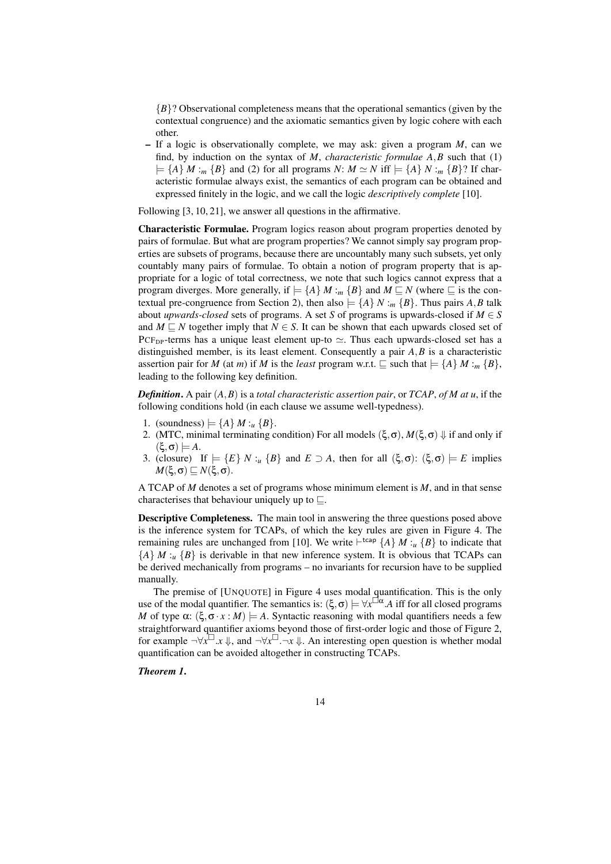{*B*}? Observational completeness means that the operational semantics (given by the contextual congruence) and the axiomatic semantics given by logic cohere with each other.

– If a logic is observationally complete, we may ask: given a program *M*, can we find, by induction on the syntax of *M*, *characteristic formulae A*,*B* such that (1)  $= \{A\} M :_{m} \{B\}$  and (2) for all programs *N*:  $M \simeq N$  iff  $= \{A\} N :_{m} \{B\}$ ? If characteristic formulae always exist, the semantics of each program can be obtained and expressed finitely in the logic, and we call the logic *descriptively complete* [10].

Following [3, 10, 21], we answer all questions in the affirmative.

Characteristic Formulae. Program logics reason about program properties denoted by pairs of formulae. But what are program properties? We cannot simply say program properties are subsets of programs, because there are uncountably many such subsets, yet only countably many pairs of formulae. To obtain a notion of program property that is appropriate for a logic of total correctness, we note that such logics cannot express that a program diverges. More generally, if  $\models$   $\{A\}$  *M* :<sub>*m*</sub>  $\{B\}$  and *M*  $\sqsubseteq$  *N* (where  $\sqsubseteq$  is the contextual pre-congruence from Section 2), then also  $\models {A} N :_{m} {B}$ . Thus pairs *A*,*B* talk about *upwards-closed* sets of programs. A set *S* of programs is upwards-closed if  $M \in S$ and  $M \sqsubseteq N$  together imply that  $N \in S$ . It can be shown that each upwards closed set of PCF<sub>DP</sub>-terms has a unique least element up-to  $\simeq$ . Thus each upwards-closed set has a distinguished member, is its least element. Consequently a pair *A*,*B* is a characteristic assertion pair for *M* (at *m*) if *M* is the *least* program w.r.t.  $\subseteq$  such that  $\models {A} M :_{m} {B}$ , leading to the following key definition.

*Definition*. A pair (*A*,*B*) is a *total characteristic assertion pair*, or *TCAP*, *of M at u*, if the following conditions hold (in each clause we assume well-typedness).

- 1. (soundness)  $\models \{A\} M :_{\mathcal{U}} \{B\}.$
- 2. (MTC, minimal terminating condition) For all models ( $\xi, \sigma$ ),  $M(\xi, \sigma) \Downarrow$  if and only if  $(ξ, σ) |= A.$
- 3. (closure) If  $\models \{E\}$  *N* :*u*  $\{B\}$  and  $E \supset A$ , then for all  $(\xi, \sigma)$ :  $(\xi, \sigma) \models E$  implies  $M(\xi, \sigma) \sqsubseteq N(\xi, \sigma)$ .

A TCAP of *M* denotes a set of programs whose minimum element is *M*, and in that sense characterises that behaviour uniquely up to  $\Box$ .

Descriptive Completeness. The main tool in answering the three questions posed above is the inference system for TCAPs, of which the key rules are given in Figure 4. The remaining rules are unchanged from [10]. We write  $\vdash^{tcap} {\{A\}} M :_{u} {\{B\}}$  to indicate that  ${A}$  *M* :*u*  ${B}$  is derivable in that new inference system. It is obvious that TCAPs can be derived mechanically from programs – no invariants for recursion have to be supplied manually.

The premise of [UNQUOTE] in Figure 4 uses modal quantification. This is the only use of the modal quantifier. The semantics is:  $(\xi, \sigma) \models \forall x^{\Box \alpha} A$  iff for all closed programs *M* of type  $\alpha$ :  $(\xi, \sigma \cdot x : M) \models A$ . Syntactic reasoning with modal quantifiers needs a few straightforward quantifier axioms beyond those of first-order logic and those of Figure 2, for example  $\neg \forall x^{\Box}.x \Downarrow$ , and  $\neg \forall x^{\Box}. \neg x \Downarrow$ . An interesting open question is whether modal quantification can be avoided altogether in constructing TCAPs.

#### *Theorem 1*.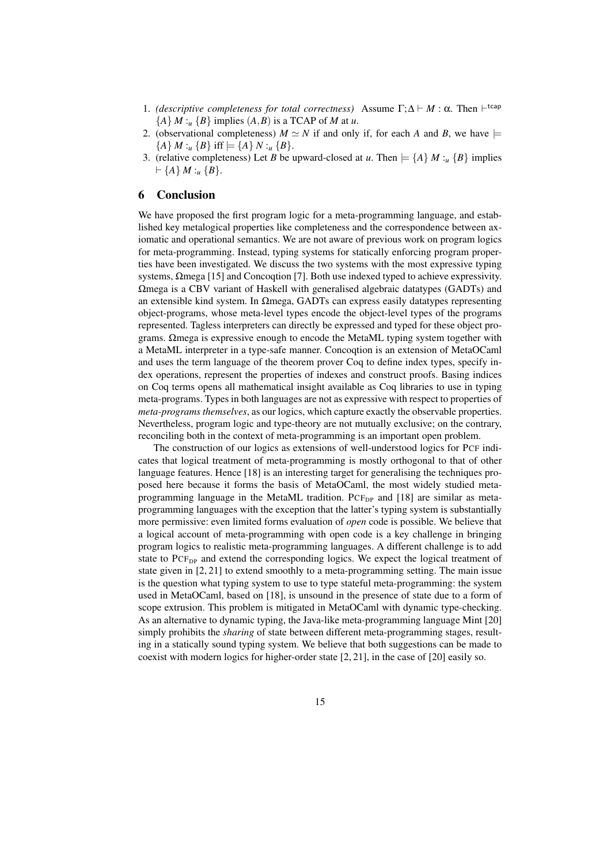- 1. *(descriptive completeness for total correctness)* Assume  $\Gamma; \Delta \vdash M : \alpha$ . Then  $\vdash^{tcap}$  ${A}$  *M* :  ${u}$   ${B}$  implies  $(A, B)$  is a TCAP of *M* at *u*.
- 2. (observational completeness)  $M \simeq N$  if and only if, for each *A* and *B*, we have  $\models$  ${A} M :_{u} {B} \text{ iff } = {A} N :_{u} {B}.$
- 3. (relative completeness) Let *B* be upward-closed at *u*. Then  $\models \{A\}$  *M* : *u*<sub>i</sub>  $\{B\}$  implies  $\vdash$  {*A*} *M* :*u* {*B*}.

#### 6 Conclusion

We have proposed the first program logic for a meta-programming language, and established key metalogical properties like completeness and the correspondence between axiomatic and operational semantics. We are not aware of previous work on program logics for meta-programming. Instead, typing systems for statically enforcing program properties have been investigated. We discuss the two systems with the most expressive typing systems, Ωmega [15] and Concoqtion [7]. Both use indexed typed to achieve expressivity. Ωmega is a CBV variant of Haskell with generalised algebraic datatypes (GADTs) and an extensible kind system. In  $\Omega$ mega, GADTs can express easily datatypes representing object-programs, whose meta-level types encode the object-level types of the programs represented. Tagless interpreters can directly be expressed and typed for these object programs. Ωmega is expressive enough to encode the MetaML typing system together with a MetaML interpreter in a type-safe manner. Concoqtion is an extension of MetaOCaml and uses the term language of the theorem prover Coq to define index types, specify index operations, represent the properties of indexes and construct proofs. Basing indices on Coq terms opens all mathematical insight available as Coq libraries to use in typing meta-programs. Types in both languages are not as expressive with respect to properties of *meta-programs themselves*, as our logics, which capture exactly the observable properties. Nevertheless, program logic and type-theory are not mutually exclusive; on the contrary, reconciling both in the context of meta-programming is an important open problem.

The construction of our logics as extensions of well-understood logics for PCF indicates that logical treatment of meta-programming is mostly orthogonal to that of other language features. Hence [18] is an interesting target for generalising the techniques proposed here because it forms the basis of MetaOCaml, the most widely studied metaprogramming language in the MetaML tradition.  $PCF_{DP}$  and [18] are similar as metaprogramming languages with the exception that the latter's typing system is substantially more permissive: even limited forms evaluation of *open* code is possible. We believe that a logical account of meta-programming with open code is a key challenge in bringing program logics to realistic meta-programming languages. A different challenge is to add state to  $PCF_{DP}$  and extend the corresponding logics. We expect the logical treatment of state given in [2, 21] to extend smoothly to a meta-programming setting. The main issue is the question what typing system to use to type stateful meta-programming: the system used in MetaOCaml, based on [18], is unsound in the presence of state due to a form of scope extrusion. This problem is mitigated in MetaOCaml with dynamic type-checking. As an alternative to dynamic typing, the Java-like meta-programming language Mint [20] simply prohibits the *sharing* of state between different meta-programming stages, resulting in a statically sound typing system. We believe that both suggestions can be made to coexist with modern logics for higher-order state [2, 21], in the case of [20] easily so.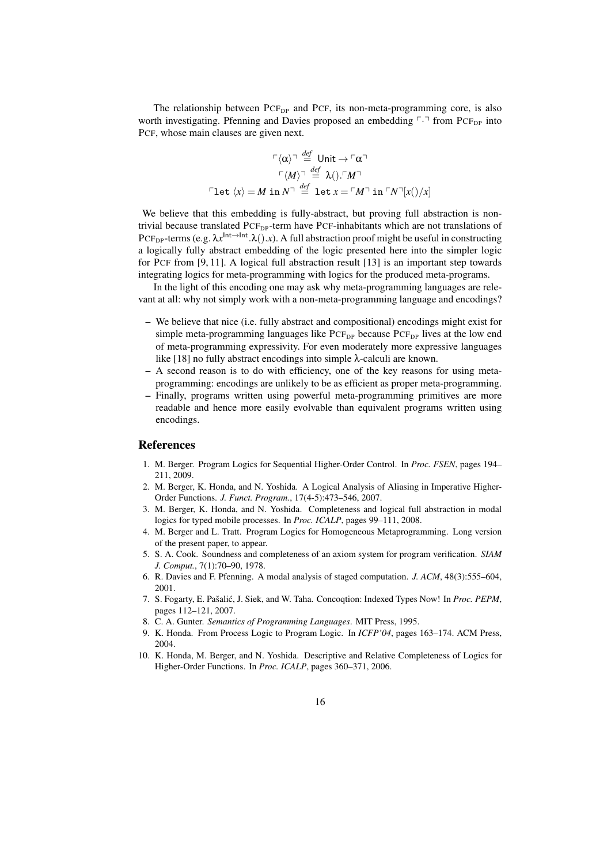The relationship between  $PCF<sub>DP</sub>$  and PCF, its non-meta-programming core, is also worth investigating. Pfenning and Davies proposed an embedding  $\lceil \cdot \rceil$  from PCF<sub>DP</sub> into PCF, whose main clauses are given next.

$$
\ulcorner \langle \alpha \rangle \urcorner \stackrel{\text{def}}{=} \text{Unit} \rightarrow \ulcorner \alpha \urcorner
$$
\n
$$
\ulcorner \langle M \rangle \urcorner \stackrel{\text{def}}{=} \lambda() \ulcorner M \urcorner
$$
\n
$$
\ulcorner \text{let } \langle x \rangle = M \text{ in } N \urcorner \stackrel{\text{def}}{=} \text{ let } x = \ulcorner M \urcorner \text{ in } \ulcorner N \urcorner [x() / x]
$$

We believe that this embedding is fully-abstract, but proving full abstraction is nontrivial because translated  $PCF_{DP}$ -term have PCF-inhabitants which are not translations of PCF<sub>DP</sub>-terms (e.g.  $\lambda x^{\ln t \to \ln t} \cdot \lambda(\cdot) \cdot x$ ). A full abstraction proof might be useful in constructing a logically fully abstract embedding of the logic presented here into the simpler logic for PCF from [9, 11]. A logical full abstraction result [13] is an important step towards integrating logics for meta-programming with logics for the produced meta-programs.

In the light of this encoding one may ask why meta-programming languages are relevant at all: why not simply work with a non-meta-programming language and encodings?

- We believe that nice (i.e. fully abstract and compositional) encodings might exist for simple meta-programming languages like  $PCF_{DP}$  because  $PCF_{DP}$  lives at the low end of meta-programming expressivity. For even moderately more expressive languages like  $[18]$  no fully abstract encodings into simple  $\lambda$ -calculi are known.
- A second reason is to do with efficiency, one of the key reasons for using metaprogramming: encodings are unlikely to be as efficient as proper meta-programming.
- Finally, programs written using powerful meta-programming primitives are more readable and hence more easily evolvable than equivalent programs written using encodings.

## References

- 1. M. Berger. Program Logics for Sequential Higher-Order Control. In *Proc. FSEN*, pages 194– 211, 2009.
- 2. M. Berger, K. Honda, and N. Yoshida. A Logical Analysis of Aliasing in Imperative Higher-Order Functions. *J. Funct. Program.*, 17(4-5):473–546, 2007.
- 3. M. Berger, K. Honda, and N. Yoshida. Completeness and logical full abstraction in modal logics for typed mobile processes. In *Proc. ICALP*, pages 99–111, 2008.
- 4. M. Berger and L. Tratt. Program Logics for Homogeneous Metaprogramming. Long version of the present paper, to appear.
- 5. S. A. Cook. Soundness and completeness of an axiom system for program verification. *SIAM J. Comput.*, 7(1):70–90, 1978.
- 6. R. Davies and F. Pfenning. A modal analysis of staged computation. *J. ACM*, 48(3):555–604, 2001.
- 7. S. Fogarty, E. Pašalić, J. Siek, and W. Taha. Concoqtion: Indexed Types Now! In *Proc. PEPM*, pages 112–121, 2007.
- 8. C. A. Gunter. *Semantics of Programming Languages*. MIT Press, 1995.
- 9. K. Honda. From Process Logic to Program Logic. In *ICFP'04*, pages 163–174. ACM Press, 2004.
- 10. K. Honda, M. Berger, and N. Yoshida. Descriptive and Relative Completeness of Logics for Higher-Order Functions. In *Proc. ICALP*, pages 360–371, 2006.